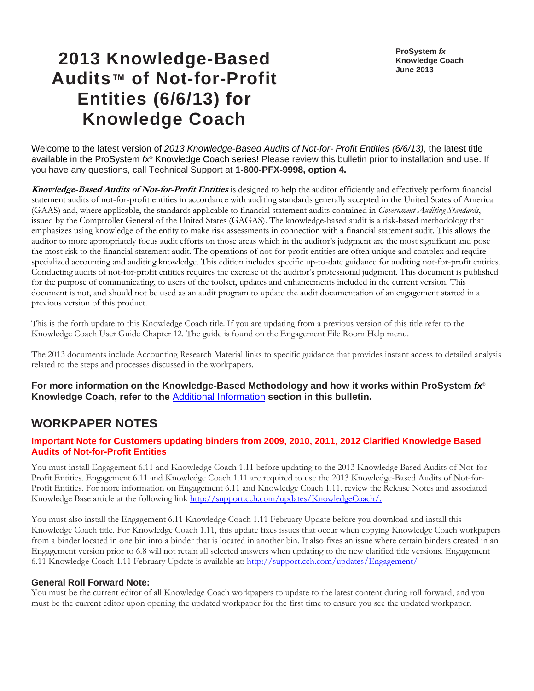**ProSystem** *fx* **Knowledge Coach June 2013**

# **2013 Knowledge-Based Audits™ of Not-for-Profit Entities (6/6/13) for Knowledge Coach**

Welcome to the latest version of *2013 Knowledge-Based Audits of Not-for- Profit Entities (6/6/13)*, the latest title available in the ProSystem *fx*® Knowledge Coach series! Please review this bulletin prior to installation and use. If you have any questions, call Technical Support at **1-800-PFX-9998, option 4.**

**Knowledge-Based Audits of Not-for-Profit Entities** is designed to help the auditor efficiently and effectively perform financial statement audits of not-for-profit entities in accordance with auditing standards generally accepted in the United States of America (GAAS) and, where applicable, the standards applicable to financial statement audits contained in *Government Auditing Standards*, issued by the Comptroller General of the United States (GAGAS). The knowledge-based audit is a risk-based methodology that emphasizes using knowledge of the entity to make risk assessments in connection with a financial statement audit. This allows the auditor to more appropriately focus audit efforts on those areas which in the auditor's judgment are the most significant and pose the most risk to the financial statement audit. The operations of not-for-profit entities are often unique and complex and require specialized accounting and auditing knowledge. This edition includes specific up-to-date guidance for auditing not-for-profit entities. Conducting audits of not-for-profit entities requires the exercise of the auditor's professional judgment. This document is published for the purpose of communicating, to users of the toolset, updates and enhancements included in the current version. This document is not, and should not be used as an audit program to update the audit documentation of an engagement started in a previous version of this product.

This is the forth update to this Knowledge Coach title. If you are updating from a previous version of this title refer to the Knowledge Coach User Guide Chapter 12. The guide is found on the Engagement File Room Help menu.

The 2013 documents include Accounting Research Material links to specific guidance that provides instant access to detailed analysis related to the steps and processes discussed in the workpapers.

**For more information on the Knowledge-Based Methodology and how it works within ProSystem** *fx*® **Knowledge Coach, refer to the** [Additional Information](#page-2-0) **section in this bulletin.**

# **WORKPAPER NOTES**

#### **Important Note for Customers updating binders from 2009, 2010, 2011, 2012 Clarified Knowledge Based Audits of Not-for-Profit Entities**

You must install Engagement 6.11 and Knowledge Coach 1.11 before updating to the 2013 Knowledge Based Audits of Not-for-Profit Entities. Engagement 6.11 and Knowledge Coach 1.11 are required to use the 2013 Knowledge-Based Audits of Not-for-Profit Entities. For more information on Engagement 6.11 and Knowledge Coach 1.11, review the Release Notes and associated Knowledge Base article at the following link [http://support.cch.com/updates/KnowledgeCoach/.](http://support.cch.com/updates/KnowledgeCoach/) 

You must also install the Engagement 6.11 Knowledge Coach 1.11 February Update before you download and install this Knowledge Coach title. For Knowledge Coach 1.11, this update fixes issues that occur when copying Knowledge Coach workpapers from a binder located in one bin into a binder that is located in another bin. It also fixes an issue where certain binders created in an Engagement version prior to 6.8 will not retain all selected answers when updating to the new clarified title versions. Engagement 6.11 Knowledge Coach 1.11 February Update is available at:<http://support.cch.com/updates/Engagement/>

#### **General Roll Forward Note:**

You must be the current editor of all Knowledge Coach workpapers to update to the latest content during roll forward, and you must be the current editor upon opening the updated workpaper for the first time to ensure you see the updated workpaper.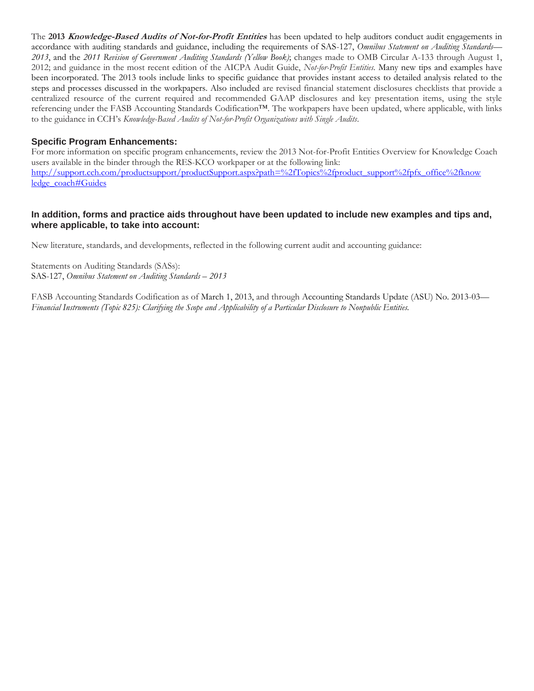The **2013 Knowledge-Based Audits of Not-for-Profit Entities** has been updated to help auditors conduct audit engagements in accordance with auditing standards and guidance, including the requirements of SAS-127, *Omnibus Statement on Auditing Standards— 2013*, and the *2011 Revision of Government Auditing Standards (Yellow Book)*; changes made to OMB Circular A-133 through August 1, 2012; and guidance in the most recent edition of the AICPA Audit Guide, *Not-for-Profit Entities.* Many new tips and examples have been incorporated. The 2013 tools include links to specific guidance that provides instant access to detailed analysis related to the steps and processes discussed in the workpapers. Also included are revised financial statement disclosures checklists that provide a centralized resource of the current required and recommended GAAP disclosures and key presentation items, using the style referencing under the FASB Accounting Standards Codification™. The workpapers have been updated, where applicable, with links to the guidance in CCH's *Knowledge-Based Audits of Not-for-Profit Organizations with Single Audits*.

#### **Specific Program Enhancements:**

For more information on specific program enhancements, review the 2013 Not-for-Profit Entities Overview for Knowledge Coach users available in the binder through the RES-KCO workpaper or at the following link: [http://support.cch.com/productsupport/productSupport.aspx?path=%2fTopics%2fproduct\\_support%2fpfx\\_office%2fknow](http://support.cch.com/productsupport/productSupport.aspx?path=%2fTopics%2fproduct_support%2fpfx_office%2fknow) [ledge\\_coach#Guides](http://support.cch.com/productsupport/productSupport.aspx?path=%2fTopics%2fproduct_support%2fpfx_office%2fknow)

#### **In addition, forms and practice aids throughout have been updated to include new examples and tips and, where applicable, to take into account:**

New literature, standards, and developments, reflected in the following current audit and accounting guidance:

Statements on Auditing Standards (SASs): SAS-127, *Omnibus Statement on Auditing Standards – 2013*

FASB Accounting Standards Codification as of March 1, 2013, and through Accounting Standards Update (ASU) No. 2013-03— *Financial Instruments (Topic 825): Clarifying the Scope and Applicability of a Particular Disclosure to Nonpublic Entities.*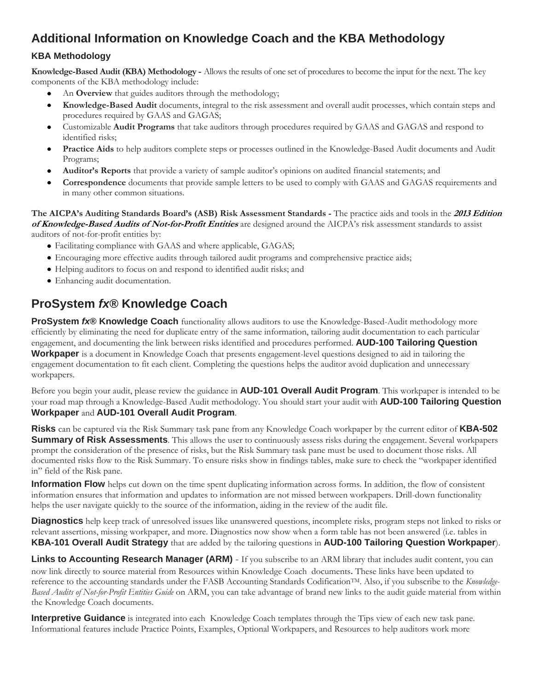# <span id="page-2-0"></span>**Additional Information on Knowledge Coach and the KBA Methodology**

#### **KBA Methodology**

**Knowledge-Based Audit (KBA) Methodology -** Allows the results of one set of procedures to become the input for the next. The key components of the KBA methodology include:

- An **Overview** that guides auditors through the methodology;  $\bullet$
- **Knowledge-Based Audit** documents, integral to the risk assessment and overall audit processes, which contain steps and  $\bullet$ procedures required by GAAS and GAGAS;
- Customizable **Audit Programs** that take auditors through procedures required by GAAS and GAGAS and respond to  $\bullet$ identified risks;
- **Practice Aids** to help auditors complete steps or processes outlined in the Knowledge-Based Audit documents and Audit  $\bullet$ Programs;
- **Auditor's Reports** that provide a variety of sample auditor's opinions on audited financial statements; and
- **Correspondence** documents that provide sample letters to be used to comply with GAAS and GAGAS requirements and in many other common situations.

**The AICPA's Auditing Standards Board's (ASB) Risk Assessment Standards -** The practice aids and tools in the **2013 Edition of Knowledge-Based Audits of Not-for-Profit Entities** are designed around the AICPA's risk assessment standards to assist auditors of not-for-profit entities by:

- Facilitating compliance with GAAS and where applicable, GAGAS;
- Encouraging more effective audits through tailored audit programs and comprehensive practice aids;
- Helping auditors to focus on and respond to identified audit risks; and
- Enhancing audit documentation.

# **ProSystem** *fx***® Knowledge Coach**

**ProSystem** *fx***® Knowledge Coach** functionality allows auditors to use the Knowledge-Based-Audit methodology more efficiently by eliminating the need for duplicate entry of the same information, tailoring audit documentation to each particular engagement, and documenting the link between risks identified and procedures performed. **AUD-100 Tailoring Question Workpaper** is a document in Knowledge Coach that presents engagement-level questions designed to aid in tailoring the engagement documentation to fit each client. Completing the questions helps the auditor avoid duplication and unnecessary workpapers.

Before you begin your audit, please review the guidance in **AUD-101 Overall Audit Program**. This workpaper is intended to be your road map through a Knowledge-Based Audit methodology. You should start your audit with **AUD-100 Tailoring Question Workpaper** and **AUD-101 Overall Audit Program**.

**Risks** can be captured via the Risk Summary task pane from any Knowledge Coach workpaper by the current editor of **KBA-502 Summary of Risk Assessments**. This allows the user to continuously assess risks during the engagement. Several workpapers prompt the consideration of the presence of risks, but the Risk Summary task pane must be used to document those risks. All documented risks flow to the Risk Summary. To ensure risks show in findings tables, make sure to check the "workpaper identified in" field of the Risk pane.

**Information Flow** helps cut down on the time spent duplicating information across forms. In addition, the flow of consistent information ensures that information and updates to information are not missed between workpapers. Drill-down functionality helps the user navigate quickly to the source of the information, aiding in the review of the audit file.

**Diagnostics** help keep track of unresolved issues like unanswered questions, incomplete risks, program steps not linked to risks or relevant assertions, missing workpaper, and more. Diagnostics now show when a form table has not been answered (i.e. tables in **KBA-101 Overall Audit Strategy** that are added by the tailoring questions in **AUD-100 Tailoring Question Workpaper**).

**Links to Accounting Research Manager (ARM)** - If you subscribe to an ARM library that includes audit content, you can now link directly to source material from Resources within Knowledge Coach documents. These links have been updated to reference to the accounting standards under the FASB Accounting Standards Codification<sup>TM</sup>. Also, if you subscribe to the *Knowledge-Based Audits of Not-for-Profit Entities Guide* on ARM, you can take advantage of brand new links to the audit guide material from within the Knowledge Coach documents.

**Interpretive Guidance** is integrated into each Knowledge Coach templates through the Tips view of each new task pane. Informational features include Practice Points, Examples, Optional Workpapers, and Resources to help auditors work more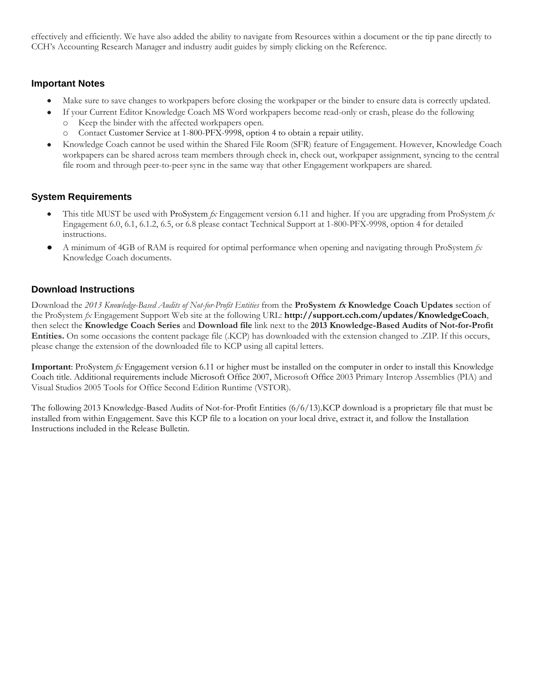effectively and efficiently. We have also added the ability to navigate from Resources within a document or the tip pane directly to CCH's Accounting Research Manager and industry audit guides by simply clicking on the Reference.

#### **Important Notes**

- Make sure to save changes to workpapers before closing the workpaper or the binder to ensure data is correctly updated.
- If your Current Editor Knowledge Coach MS Word workpapers become read-only or crash, please do the following Keep the binder with the affected workpapers open.
	- Contact Customer Service at 1-800-PFX-9998, option 4 to obtain a repair utility.
- Knowledge Coach cannot be used within the Shared File Room (SFR) feature of Engagement. However, Knowledge Coach workpapers can be shared across team members through check in, check out, workpaper assignment, syncing to the central file room and through peer-to-peer sync in the same way that other Engagement workpapers are shared.

### **System Requirements**

- This title MUST be used with ProSystem *fx* Engagement version 6.11 and higher. If you are upgrading from ProSystem *fx*  Engagement 6.0, 6.1, 6.1.2, 6.5, or 6.8 please contact Technical Support at 1-800-PFX-9998, option 4 for detailed instructions.
- A minimum of 4GB of RAM is required for optimal performance when opening and navigating through ProSystem *fx*  Knowledge Coach documents.

### **Download Instructions**

Download the *2013 Knowledge-Based Audits of Not-for-Profit Entities* from the **ProSystem fx Knowledge Coach Updates** section of the ProSystem *fx* Engagement Support Web site at the following URL: **http://support.cch.com/updates/KnowledgeCoach**, then select the **Knowledge Coach Series** and **Download file** link next to the **2013 Knowledge-Based Audits of Not-for-Profit Entities.** On some occasions the content package file (.KCP) has downloaded with the extension changed to .ZIP. If this occurs, please change the extension of the downloaded file to KCP using all capital letters.

**Important**: ProSystem *fx* Engagement version 6.11 or higher must be installed on the computer in order to install this Knowledge Coach title. Additional requirements include Microsoft Office 2007, Microsoft Office 2003 Primary Interop Assemblies (PIA) and Visual Studios 2005 Tools for Office Second Edition Runtime (VSTOR).

The following 2013 Knowledge-Based Audits of Not-for-Profit Entities (6/6/13).KCP download is a proprietary file that must be installed from within Engagement. Save this KCP file to a location on your local drive, extract it, and follow the Installation Instructions included in the Release Bulletin.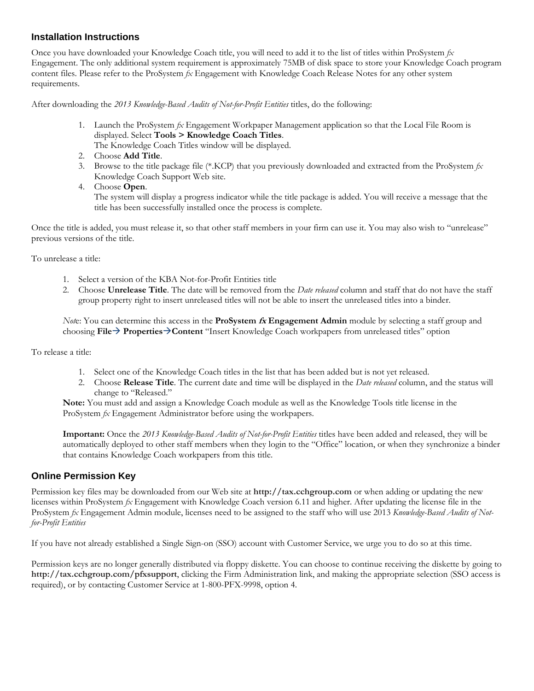#### **Installation Instructions**

Once you have downloaded your Knowledge Coach title, you will need to add it to the list of titles within ProSystem *fx*  Engagement. The only additional system requirement is approximately 75MB of disk space to store your Knowledge Coach program content files. Please refer to the ProSystem *fx* Engagement with Knowledge Coach Release Notes for any other system requirements.

After downloading the *2013 Knowledge-Based Audits of Not-for-Profit Entities* titles, do the following:

1. Launch the ProSystem *fx* Engagement Workpaper Management application so that the Local File Room is displayed. Select **Tools > Knowledge Coach Titles**.

The Knowledge Coach Titles window will be displayed.

- 2. Choose **Add Title**.
- 3. Browse to the title package file (\*.KCP) that you previously downloaded and extracted from the ProSystem *fx*  Knowledge Coach Support Web site.
- 4. Choose **Open**.

The system will display a progress indicator while the title package is added. You will receive a message that the title has been successfully installed once the process is complete.

Once the title is added, you must release it, so that other staff members in your firm can use it. You may also wish to "unrelease" previous versions of the title.

To unrelease a title:

- 1. Select a version of the KBA Not-for-Profit Entities title
- 2. Choose **Unrelease Title**. The date will be removed from the *Date released* column and staff that do not have the staff group property right to insert unreleased titles will not be able to insert the unreleased titles into a binder.

*Not*e: You can determine this access in the **ProSystem fx Engagement Admin** module by selecting a staff group and choosing **File PropertiesContent** "Insert Knowledge Coach workpapers from unreleased titles" option

To release a title:

- 1. Select one of the Knowledge Coach titles in the list that has been added but is not yet released.
- 2. Choose **Release Title**. The current date and time will be displayed in the *Date released* column, and the status will change to "Released."

**Note:** You must add and assign a Knowledge Coach module as well as the Knowledge Tools title license in the ProSystem *fx* Engagement Administrator before using the workpapers.

**Important:** Once the *2013 Knowledge-Based Audits of Not-for-Profit Entities* titles have been added and released, they will be automatically deployed to other staff members when they login to the "Office" location, or when they synchronize a binder that contains Knowledge Coach workpapers from this title.

#### **Online Permission Key**

Permission key files may be downloaded from our Web site at **http://tax.cchgroup.com** or when adding or updating the new licenses within ProSystem *fx* Engagement with Knowledge Coach version 6.11 and higher. After updating the license file in the ProSystem *fx* Engagement Admin module, licenses need to be assigned to the staff who will use 2013 *Knowledge-Based Audits of Notfor-Profit Entities*

If you have not already established a Single Sign-on (SSO) account with Customer Service, we urge you to do so at this time.

Permission keys are no longer generally distributed via floppy diskette. You can choose to continue receiving the diskette by going to **http://tax.cchgroup.com/pfxsupport**, clicking the Firm Administration link, and making the appropriate selection (SSO access is required), or by contacting Customer Service at 1-800-PFX-9998, option 4.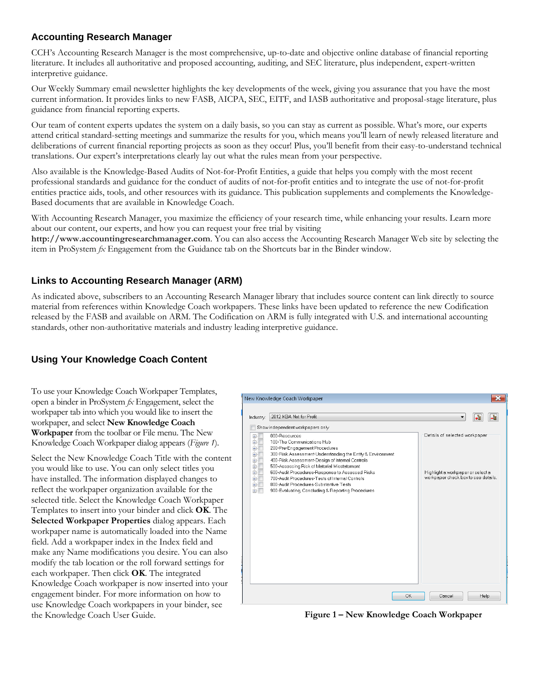#### **Accounting Research Manager**

CCH's Accounting Research Manager is the most comprehensive, up-to-date and objective online database of financial reporting literature. It includes all authoritative and proposed accounting, auditing, and SEC literature, plus independent, expert-written interpretive guidance.

Our Weekly Summary email newsletter highlights the key developments of the week, giving you assurance that you have the most current information. It provides links to new FASB, AICPA, SEC, EITF, and IASB authoritative and proposal-stage literature, plus guidance from financial reporting experts.

Our team of content experts updates the system on a daily basis, so you can stay as current as possible. What's more, our experts attend critical standard-setting meetings and summarize the results for you, which means you'll learn of newly released literature and deliberations of current financial reporting projects as soon as they occur! Plus, you'll benefit from their easy-to-understand technical translations. Our expert's interpretations clearly lay out what the rules mean from your perspective.

Also available is the Knowledge-Based Audits of Not-for-Profit Entities, a guide that helps you comply with the most recent professional standards and guidance for the conduct of audits of not-for-profit entities and to integrate the use of not-for-profit entities practice aids, tools, and other resources with its guidance. This publication supplements and complements the Knowledge-Based documents that are available in Knowledge Coach.

With Accounting Research Manager, you maximize the efficiency of your research time, while enhancing your results. Learn more about our content, our experts, and how you can request your free trial by visiting

**http://www.accountingresearchmanager.com**. You can also access the Accounting Research Manager Web site by selecting the item in ProSystem *fx* Engagement from the Guidance tab on the Shortcuts bar in the Binder window.

### **Links to Accounting Research Manager (ARM)**

As indicated above, subscribers to an Accounting Research Manager library that includes source content can link directly to source material from references within Knowledge Coach workpapers. These links have been updated to reference the new Codification released by the FASB and available on ARM. The Codification on ARM is fully integrated with U.S. and international accounting standards, other non-authoritative materials and industry leading interpretive guidance.

## **Using Your Knowledge Coach Content**

To use your Knowledge Coach Workpaper Templates, open a binder in ProSystem *fx* Engagement, select the workpaper tab into which you would like to insert the workpaper, and select **New Knowledge Coach Workpaper** from the toolbar or File menu. The New Knowledge Coach Workpaper dialog appears (*Figure 1*).

Select the New Knowledge Coach Title with the content you would like to use. You can only select titles you have installed. The information displayed changes to reflect the workpaper organization available for the selected title. Select the Knowledge Coach Workpaper Templates to insert into your binder and click **OK**. The **Selected Workpaper Properties** dialog appears. Each workpaper name is automatically loaded into the Name field. Add a workpaper index in the Index field and make any Name modifications you desire. You can also modify the tab location or the roll forward settings for each workpaper. Then click **OK**. The integrated Knowledge Coach workpaper is now inserted into your engagement binder. For more information on how to use Knowledge Coach workpapers in your binder, see the Knowledge Coach User Guide.



**Figure 1 – New Knowledge Coach Workpaper**